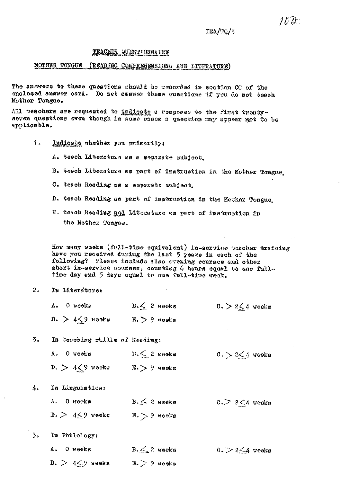# TEACHER QUESTIONNAIRE

## MOTHER TONGUE (READING COMPREHENSIONS AND LITERATURE)

The answers to these questions should be recorded in section CC of the enclosed answer card. Do not answer these questions if you do not teach Mother Tongue.

All teachers are requested to indicate a response to the first twentyseven questions even though in some cases a question may appear mot to be applicable.

1. Indicate whether you primarily:

A. teach Literature as a separate subject.

- B. tesch Literature as part of instruction in the Mother Tongue.
- C. teach Reading as a separate subject.
- D. teach Reading as part of instruction in the Mother Tongue.
- E. teach Reading and Literature as part of instruction in the Mother Tongue.

How many weeks (full-time equivalent) in-service teacher training have you received during the last 5 years in each of the following? Please include slac evening courses and other short in-service courses, counting 6 hours equal to one fulltime day and 5 days equal to one full-time week.

- $2.$ In Literature:
	- $B \leq 2$  weeks A. O weeks  $0. > 2 \leq 4$  weeks D.  $> 4\leq 9$  weeks E.  $> 9$  weeks

 $\overline{3}$ . In teaching skills of Reading:

|  | A. O woeks       | $B \leq 2$ weeks | $0. > 2 \leq 4$ weeks |
|--|------------------|------------------|-----------------------|
|  | $D. > 4<9$ weeks | $E > 9$ weeks    |                       |

 $4.$ In Linguistics:

> $B \leq 2$  weeks  $C<sub>0</sub> > 2 \leq 4$  weeks A. O weeks  $0. > 4 \leq 9$  weeks E. > 9 weeks

 $5.$ In Philology:

|  | A. O weeks            | $B \leq 2$ weeks | $0. > 2 \leq 4$ weeks |
|--|-----------------------|------------------|-----------------------|
|  | $D. > 4 \leq 9$ weeks | $Ez > 9$ weeks   |                       |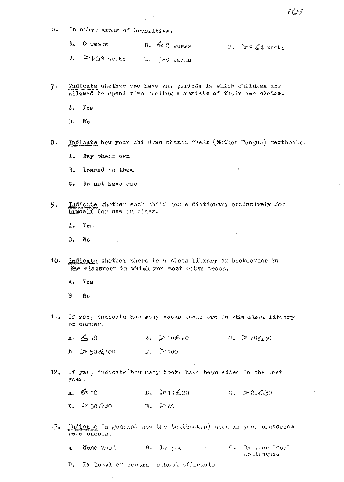- 6. In other areas of humanities:
	- A., O weeks D. G 2 Reeks  $0.$   $\approx$  2  $\leq$  4 weeks

証書した

- $D$ .  $-469$  veeks E. >9 veeks
- Indicate whether you have any periods in which children are  $7<sub>0</sub>$ allowed to spend time reading materials of their own choice.
	- Δ. Yes

 $B.$ No

- Indicate how your children obtain their (Mother Tongue) textbooks.  $8.$ 
	- Buy their own Δ.
	- $B.$ Loaned to them
	- $G_{\infty}$ Do not have one
- 9. Indicate whether each child has a dictionary exclusively for himself for use in class.

 $\mathbf{A}$ . Yes

- $B.$ - No
- Indicate whether there is a class library or bookcorner in  $10<sub>o</sub>$ the classroom in which you most often teach.

 $Y_{\odot}$ s A.,

- **B**.  $N_{\rm{C}}$
- $11<sub>n</sub>$ If yes, indicate how many books there are in this class library or corner.

 $G_s = 20\frac{2}{32}50$  $B. > 10$ \$20  $A. \leq 10$  $D_{\star} > 50$  6 100  $E_2$   $\gg 100$ 

If yes, indicate how many books have been added in the last  $12.$ year.

 $B_6 = 710.620$  $A = \frac{\sqrt{2}}{2}$  10  $G_* > 206.30$  $E. \geq 40$  $D_{\ast}$   $\rightarrow$  30  $6.40$ 

Indicate in general how the textbook(s) used in your classroom 13. were chosen.

 $B<sub>s</sub>$ by you  $\sim 10^{11}$ By your local A. None used  $\rm{C}_{\rm{e}}$ colleagues

By local or central school officials  $\mathbb{D}_{\infty}$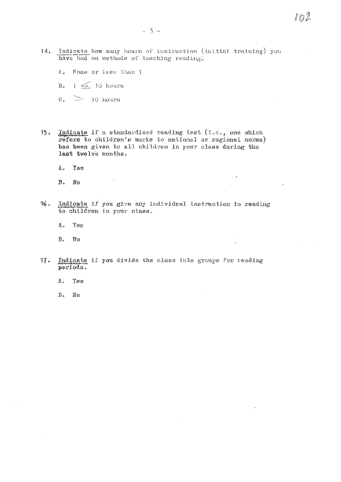- 14. Indicate how many hours of instruction (initial training) you have had on methods of teaching reading.
	- None or less than 1  $\Lambda$  .

 $\sim$   $\sim$ 

- $1 \leq 10$  hours  $B$ .
- $\sigma$ .  $\geq$  10 hours
- Indicate if a standardized reading test (i.e., one which  $15$ refers to children's marks to national or regional norms) has been given to all children in your class during the last twelve months.
	- Yes  $\Lambda$  .
	- $B$ . No
- $16.$ Indicate if you give any individual instruction in reading to children in your class.
	- **Yes**  $A_{\star}$
	- Β. No
- Indicate if you divide the class into groups for reading  $17.$ periods.
	- $\Lambda$  . Yes
	- $\mathbf{B}$ .  $\mathbb{N}$ O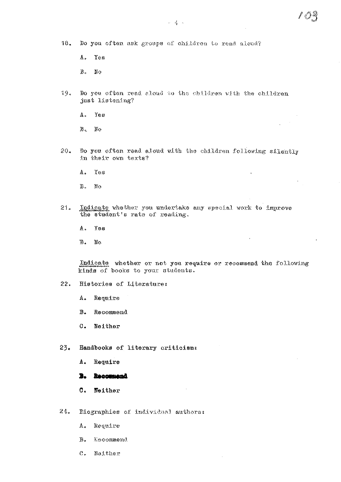### $18<sub>a</sub>$ Do you often ask groups of children to read aloud?

- $Y \circ s$ A.
- $B.$ No
- 19. Do you often read aloud to the children with the children just listening?
	- Yes A.,
	- $B_{\infty}$ No
- $20.$ Do you often read aloud with the children following silently in their own texts?

 $\ddot{\phantom{1}}$ 

- $\Lambda$ . Yes
- $\mathbf{B}$  . No
- Indicate whether you undertake any special work to improve  $21.$ the student's rate of reading.
	- A. Yos
	- $\mathbb B$  .  $\mathbb{N}^{\circ}$

Indicate whether or not you require or recommend the following kinds of books to your students.

 $\mathcal{A}$ 

- $22.$ Histories of Literature:
	- Require A.
	- Recommend  $B<sub>o</sub>$
	- $C -$ Neither
- $23.$ Handbooks of literary criticism:
	- A. Require

#### Recommend B.

- C. Neither
- $24.$ Diographies of individual authors:
	- A. Require
	- Leoommend B.
	- $\mathbb{C}_{\geq 0}$ Neither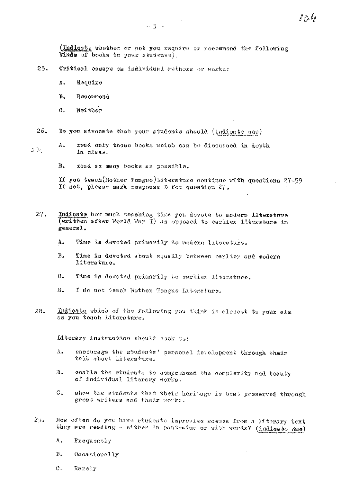(Indicate whether or not you require or recommend the following kinds of books to your students).

れんち

- 25. Critical casays on individual authors or works:
	- Require  $\mathbb{A}_n$
	- $B<sub>o</sub>$ Recommend
	- $\mathbf{C}$ . Neither
- $26.$ Do you advocate that your students should (indicate one)
- read only those books which can be discussed in depth A.,  $\rightarrow$ in class.

**B.** read as many books as possible.

If you teach(Mother Tongue)Literature continue with questions 27-59 If not, please mark response D for question 27.

- Indicate how much teaching time you devote to modern literature<br>(written after World War I) as opposed to earlier literature in  $27.$ general.
	- A. Time is devoted primerily to modern literature.
	- В. Time is devoted about equally between carlier and modern litersture.
	- $\mathcal{O}_{\mathcal{P}}$ Time is devoted primarily to earlier literature.
	- $\mathbf{b}$ . I do not teach Mother Tongue Literature.
- Indicate which of the following you think is closest to your aim  $28.$ as you teach Literature.

Literary instruction should seek to:

- $A$ . encourage the students' personal development through their talk about Literature.
- $B<sub>n</sub>$ emable the students to comprehend the complexity and beauty of individual literary works.
- show the students that their heritage is best preserved through  $\mathbb{C}$ . great writers and their works.
- 29. How often do you have students improvise scenes from a literary text they are reading - sither in pantomime or with words? (indicato due)
	- Α. Frequently
	- $\overline{B}$ . Occasionally
	- $C_{\kappa}$ Rereiv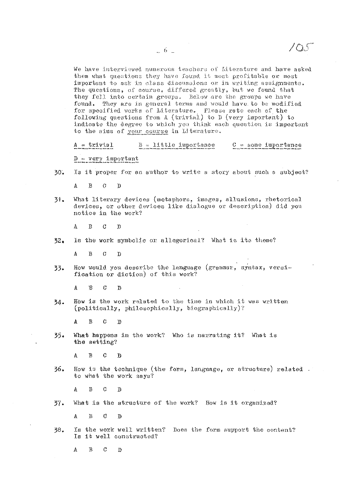We have interviewed numerous teachers of Literature and have asked them what questions they have found it most profitable or most important to ask in class discussions or in writing assignments. The questions, of course, differed greatly, but we found that they fell into certain groups. Below are the groups we have found. They are in general terms and would have to be modified for specified works of Literature. Please rate each of the following questions from A (trivial) to D (very important) to indicate the degree to which you think each question is important to the aims of your course in Literature.

 $\sim$  5

 $B =$  little importance  $C =$  some importance  $A = trivial$ 

 $D = very important$ 

30. Is it proper for an author to write a story about such a subject?

 $\Lambda$  $\mathbf{B}$  $\overline{G}$  $\mathbf{D}$ 

What literary devices (metaphors, images, allusions, rhetorical 31. devices, or other devices like dialogue or description) did you notice in the work?

 $\mathbf{B}$  $\boldsymbol{C}$  $\Lambda$ T)

 $32<sub>o</sub>$ Is the work symbolic or allegorical? What is its theme?

A  $\mathbf{B}$  $\mathcal{C}$  $\overline{D}$ 

How would you describe the language (grammar, syntax, versi-33. fication or diction) of this work?

A  $\overline{B}$  $\overline{C}$  $\mathbf{D}$ 

How is the work related to the time in which it was written 34. (politically, philosophically, biographically)?

A  $\overline{B}$  $\overline{C}$  $\mathbf{D}$ 

What happens in the work? Who is narrating it? What is  $35.$ the setting?

 $\mathbf{A}$  $\mathbf{B}$  $\mathbf{G}$  $\mathbf{D}$ 

How is the technique (the form, language, or structure) related. 36. to what the work says?

A  $\mathbf{B}$  $\mathcal{C}$  $\mathbf{D}$ 

What is the structure of the work? How is it organized? 37.

 $B$  $\mathbf{A}$  $\mathcal{C}$  $\mathbf{D}$ 

38. Is the work well written? Does the form support the content? Is it well constructed?

A  $\mathbf{B}$  $\mathcal{C}$  $\mathbf{D}$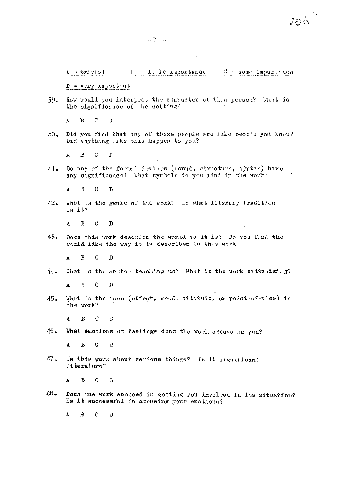### $B = 11$ ttle importance  $C =$  some importance

 $D = \text{very import}$ 

How would you interpret the character of this person? What is  $39.$ the significance of the setting?

 $\mathbf{A}$  $\mathbf{B}$  $\mathcal{C}$  $\mathbf{D}$ 

Did you find that any of these people are like people you know? 40. Did anything like this happen to you?

 $\mathtt{A}$  $\mathbf B$  $\overline{C}$  $\mathbf{D}$ 

41. Do any of the formal devices (sound, structure, syntax) have any significance? What symbols do you find in the work?

 $\mathbf{A}$  $\mathbf{B}$  $\Omega$  $\mathbf{D}$ 

42. What is the genre of the work? In what literary tradition is it?

 $\overline{A}$  $\mathbf B$  $\mathcal{C}$  $\mathbf{D}$ 

43. Does this work describe the world as it is? Do you find the world like the way it is described in this work?

 $\Lambda$  $\mathbf{B}$  $\mathcal{C}$  $\mathcal{D}$ 

 $4.4.$ What is the author teaching us? What is the work criticizing?

 $\Lambda$  $\overline{B}$  $\mathcal{C}$  $\mathbf{D}$ 

What is the tone (effect, mood, attitude, or point-of-view) in  $45.$ the work?

 $\mathbf{B}$  $\mathcal{C}$  $\mathbf{D}$  $\bf{A}$ 

46. What emotions or feelings does the work arouse in you?

 $\mathbf A$  $\mathbf{B}$  $\bf C$  $\mathbf{0}$  $\sim$   $\sim$ 

47. Is this work about serious things? Is it significant literature?

 $\mathbf{B}$  $\mathcal{O}$  $\mathbf{A}$  $\mathbf{D}$ 

48. Does the work succeed in getting you involved in its situation? Is it successful in arousing your emotions?

 $\mathbf{A}$  $\mathbf B$  $\mathbf C$  $\mathbf{D}$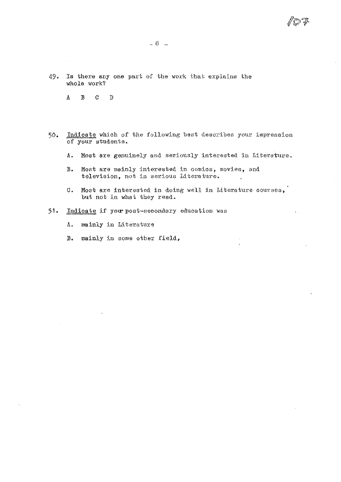$\epsilon$ 

- 49. Is there any one part of the work that explains the whole work?
	- $\mathtt{A}$  $\mathbf{B}$  $\mathbf{C}$  $\mathbf{D}$

 $\mathcal{L}_{\mathcal{A}}$ 

- Indicate which of the following best describes your impression 50. of your students.
	- A. Most are genuinely and seriously interested in Literature.
	- $B<sub>o</sub>$ Most are mainly interested in comics, movies, and television, not in serious Literature.
	- Most are interested in doing well in Literature courses,  $\sigma_{\star}$ but not in what they read.
- $51.$ Indicate if your post-secondary education was
	- $\Lambda$ . mainly in Literature
	- mainly in some other field,  $B_{\bullet}$